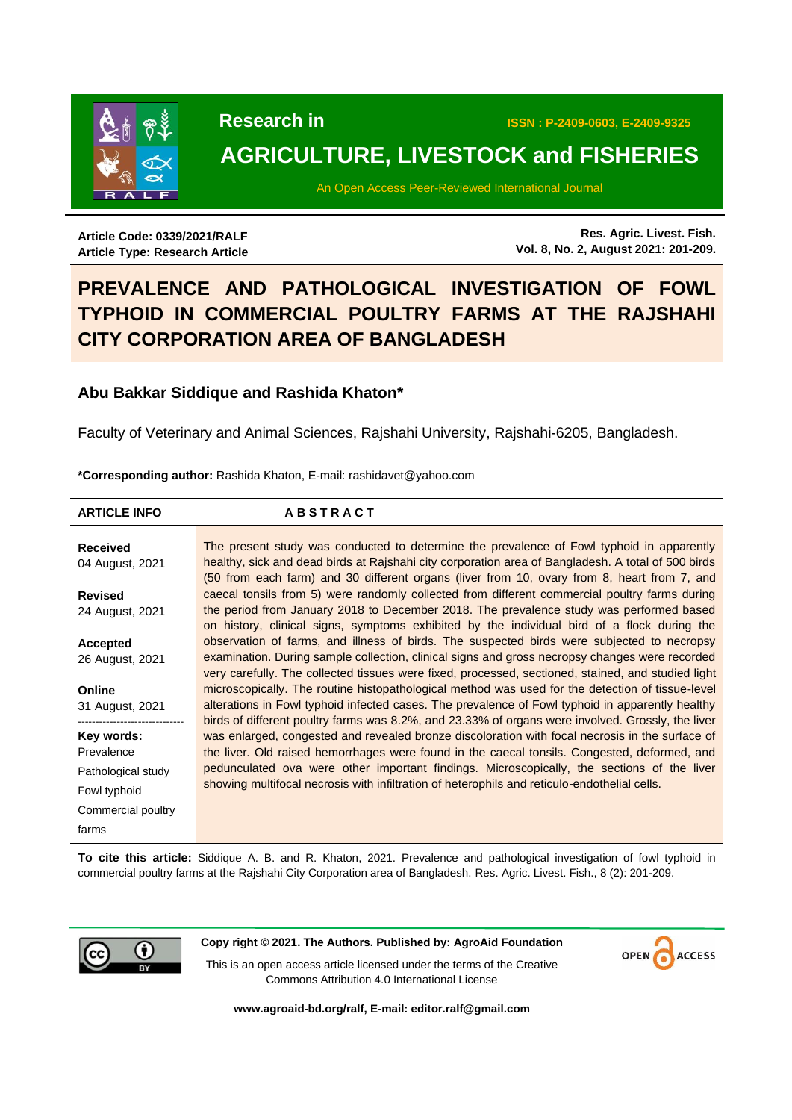

# **AGRICULTURE, LIVESTOCK and FISHERIES**

An Open Access Peer-Reviewed International Journal

**Article Code: 0339/2021/RALF Article Type: Research Article**

**Res. Agric. Livest. Fish. Vol. 8, No. 2, August 2021: 201-209.**

# **PREVALENCE AND PATHOLOGICAL INVESTIGATION OF FOWL TYPHOID IN COMMERCIAL POULTRY FARMS AT THE RAJSHAHI CITY CORPORATION AREA OF BANGLADESH**

# **Abu Bakkar Siddique and Rashida Khaton\***

Faculty of Veterinary and Animal Sciences, Rajshahi University, Rajshahi-6205, Bangladesh.

**\*Corresponding author:** Rashida Khaton, E-mail: rashidavet@yahoo.com

| <b>ARTICLE INFO</b> | <b>ABSTRACT</b>                                                                                    |
|---------------------|----------------------------------------------------------------------------------------------------|
|                     |                                                                                                    |
| <b>Received</b>     | The present study was conducted to determine the prevalence of Fowl typhoid in apparently          |
| 04 August, 2021     | healthy, sick and dead birds at Rajshahi city corporation area of Bangladesh. A total of 500 birds |
|                     | (50 from each farm) and 30 different organs (liver from 10, ovary from 8, heart from 7, and        |
| <b>Revised</b>      | caecal tonsils from 5) were randomly collected from different commercial poultry farms during      |
| 24 August, 2021     | the period from January 2018 to December 2018. The prevalence study was performed based            |
|                     | on history, clinical signs, symptoms exhibited by the individual bird of a flock during the        |
| Accepted            | observation of farms, and illness of birds. The suspected birds were subjected to necropsy         |
| 26 August, 2021     | examination. During sample collection, clinical signs and gross necropsy changes were recorded     |
|                     | very carefully. The collected tissues were fixed, processed, sectioned, stained, and studied light |
| Online              | microscopically. The routine histopathological method was used for the detection of tissue-level   |
| 31 August, 2021     | alterations in Fowl typhoid infected cases. The prevalence of Fowl typhoid in apparently healthy   |
|                     | birds of different poultry farms was 8.2%, and 23.33% of organs were involved. Grossly, the liver  |
| Key words:          | was enlarged, congested and revealed bronze discoloration with focal necrosis in the surface of    |
| Prevalence          | the liver. Old raised hemorrhages were found in the caecal tonsils. Congested, deformed, and       |
| Pathological study  | pedunculated ova were other important findings. Microscopically, the sections of the liver         |
| Fowl typhoid        | showing multifocal necrosis with infiltration of heterophils and reticulo-endothelial cells.       |
| Commercial poultry  |                                                                                                    |
| farms               |                                                                                                    |

**To cite this article:** Siddique A. B. and R. Khaton, 2021. Prevalence and pathological investigation of fowl typhoid in commercial poultry farms at the Rajshahi City Corporation area of Bangladesh. Res. Agric. Livest. Fish., 8 (2): 201-209.



**Copy right © 2021. The Authors. Published by: AgroAid Foundation**

This is an open access article licensed under the terms of the Creative Commons Attribution 4.0 International License



**[www.agroaid-bd.org/ralf,](http://www.agroaid-bd.org/ralf) E-mail: [editor.ralf@gmail.com](mailto:editor.ralf@gmail.com)**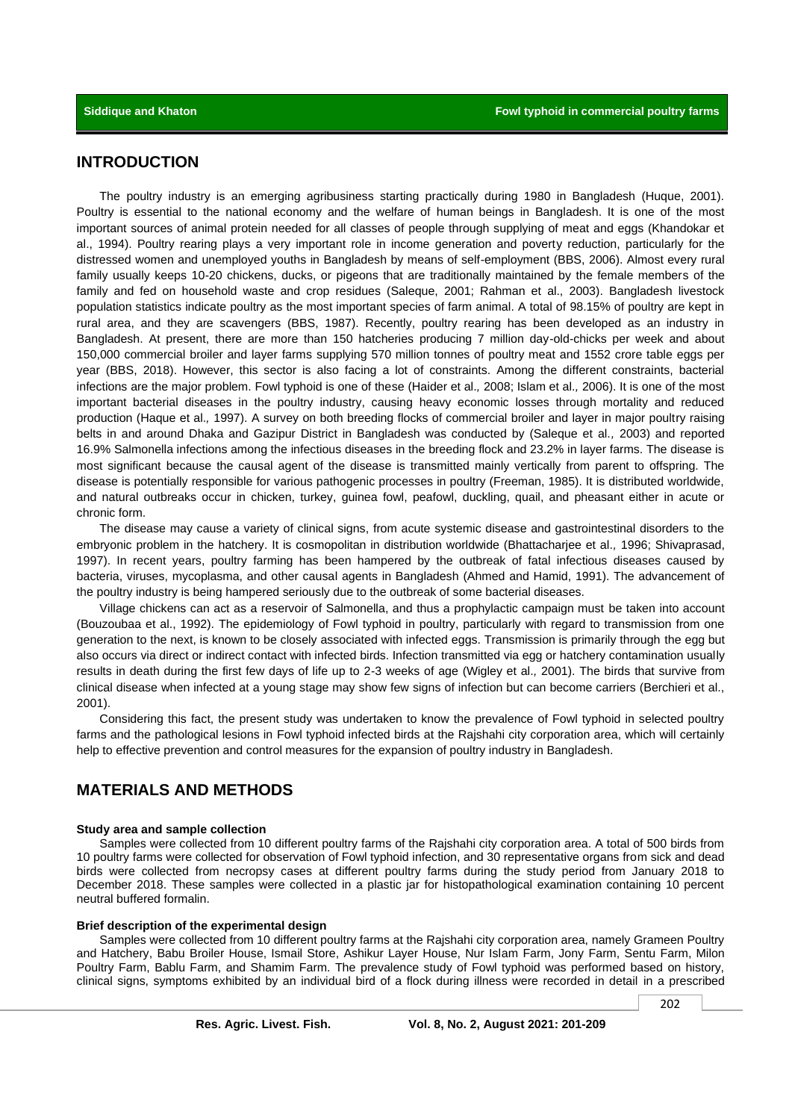## **INTRODUCTION**

The poultry industry is an emerging agribusiness starting practically during 1980 in Bangladesh (Huque, 2001). Poultry is essential to the national economy and the welfare of human beings in Bangladesh. It is one of the most important sources of animal protein needed for all classes of people through supplying of meat and eggs (Khandokar et al., 1994). Poultry rearing plays a very important role in income generation and poverty reduction, particularly for the distressed women and unemployed youths in Bangladesh by means of self-employment (BBS, 2006). Almost every rural family usually keeps 10-20 chickens, ducks, or pigeons that are traditionally maintained by the female members of the family and fed on household waste and crop residues (Saleque, 2001; Rahman et al., 2003). Bangladesh livestock population statistics indicate poultry as the most important species of farm animal. A total of 98.15% of poultry are kept in rural area, and they are scavengers (BBS, 1987). Recently, poultry rearing has been developed as an industry in Bangladesh. At present, there are more than 150 hatcheries producing 7 million day-old-chicks per week and about 150,000 commercial broiler and layer farms supplying 570 million tonnes of poultry meat and 1552 crore table eggs per year (BBS, 2018). However, this sector is also facing a lot of constraints. Among the different constraints, bacterial infections are the major problem. Fowl typhoid is one of these (Haider et al.*,* 2008; Islam et al.*,* 2006). It is one of the most important bacterial diseases in the poultry industry, causing heavy economic losses through mortality and reduced production (Haque et al.*,* 1997). A survey on both breeding flocks of commercial broiler and layer in major poultry raising belts in and around Dhaka and Gazipur District in Bangladesh was conducted by (Saleque et al.*,* 2003) and reported 16.9% Salmonella infections among the infectious diseases in the breeding flock and 23.2% in layer farms. The disease is most significant because the causal agent of the disease is transmitted mainly vertically from parent to offspring. The disease is potentially responsible for various pathogenic processes in poultry (Freeman, 1985). It is distributed worldwide, and natural outbreaks occur in chicken, turkey, guinea fowl, peafowl, duckling, quail, and pheasant either in acute or chronic form.

The disease may cause a variety of clinical signs, from acute systemic disease and gastrointestinal disorders to the embryonic problem in the hatchery. It is cosmopolitan in distribution worldwide (Bhattacharjee et al.*,* 1996; Shivaprasad, 1997). In recent years, poultry farming has been hampered by the outbreak of fatal infectious diseases caused by bacteria, viruses, mycoplasma, and other causal agents in Bangladesh (Ahmed and Hamid, 1991). The advancement of the poultry industry is being hampered seriously due to the outbreak of some bacterial diseases.

Village chickens can act as a reservoir of Salmonella, and thus a prophylactic campaign must be taken into account (Bouzoubaa et al., 1992). The epidemiology of Fowl typhoid in poultry, particularly with regard to transmission from one generation to the next, is known to be closely associated with infected eggs. Transmission is primarily through the egg but also occurs via direct or indirect contact with infected birds. Infection transmitted via egg or hatchery contamination usually results in death during the first few days of life up to 2-3 weeks of age (Wigley et al.*,* 2001). The birds that survive from clinical disease when infected at a young stage may show few signs of infection but can become carriers (Berchieri et al., 2001).

Considering this fact, the present study was undertaken to know the prevalence of Fowl typhoid in selected poultry farms and the pathological lesions in Fowl typhoid infected birds at the Rajshahi city corporation area, which will certainly help to effective prevention and control measures for the expansion of poultry industry in Bangladesh.

# **MATERIALS AND METHODS**

#### **Study area and sample collection**

Samples were collected from 10 different poultry farms of the Rajshahi city corporation area. A total of 500 birds from 10 poultry farms were collected for observation of Fowl typhoid infection, and 30 representative organs from sick and dead birds were collected from necropsy cases at different poultry farms during the study period from January 2018 to December 2018. These samples were collected in a plastic jar for histopathological examination containing 10 percent neutral buffered formalin.

#### **Brief description of the experimental design**

Samples were collected from 10 different poultry farms at the Rajshahi city corporation area, namely Grameen Poultry and Hatchery, Babu Broiler House, Ismail Store, Ashikur Layer House, Nur Islam Farm, Jony Farm, Sentu Farm, Milon Poultry Farm, Bablu Farm, and Shamim Farm. The prevalence study of Fowl typhoid was performed based on history, clinical signs, symptoms exhibited by an individual bird of a flock during illness were recorded in detail in a prescribed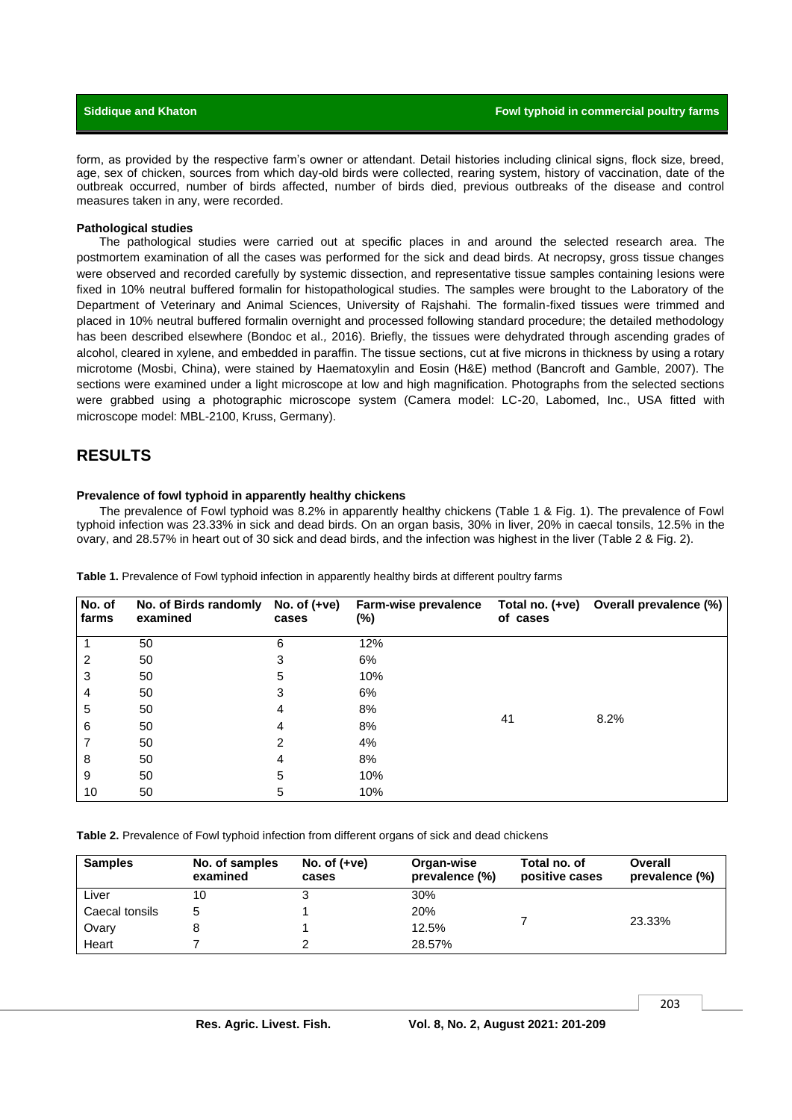form, as provided by the respective farm's owner or attendant. Detail histories including clinical signs, flock size, breed, age, sex of chicken, sources from which day-old birds were collected, rearing system, history of vaccination, date of the outbreak occurred, number of birds affected, number of birds died, previous outbreaks of the disease and control measures taken in any, were recorded.

#### **Pathological studies**

The pathological studies were carried out at specific places in and around the selected research area. The postmortem examination of all the cases was performed for the sick and dead birds. At necropsy, gross tissue changes were observed and recorded carefully by systemic dissection, and representative tissue samples containing lesions were fixed in 10% neutral buffered formalin for histopathological studies. The samples were brought to the Laboratory of the Department of Veterinary and Animal Sciences, University of Rajshahi. The formalin-fixed tissues were trimmed and placed in 10% neutral buffered formalin overnight and processed following standard procedure; the detailed methodology has been described elsewhere (Bondoc et al.*,* 2016). Briefly, the tissues were dehydrated through ascending grades of alcohol, cleared in xylene, and embedded in paraffin. The tissue sections, cut at five microns in thickness by using a rotary microtome (Mosbi, China), were stained by Haematoxylin and Eosin (H&E) method (Bancroft and Gamble, 2007). The sections were examined under a light microscope at low and high magnification. Photographs from the selected sections were grabbed using a photographic microscope system (Camera model: LC-20, Labomed, Inc., USA fitted with microscope model: MBL-2100, Kruss, Germany).

#### **RESULTS**

#### **Prevalence of fowl typhoid in apparently healthy chickens**

The prevalence of Fowl typhoid was 8.2% in apparently healthy chickens (Table 1 & Fig. 1). The prevalence of Fowl typhoid infection was 23.33% in sick and dead birds. On an organ basis, 30% in liver, 20% in caecal tonsils, 12.5% in the ovary, and 28.57% in heart out of 30 sick and dead birds, and the infection was highest in the liver (Table 2 & Fig. 2).

| No. of<br>farms | No. of Birds randomly<br>examined | No. of $(+ve)$<br>cases | Farm-wise prevalence<br>(%) | Total no. (+ve)<br>of cases | Overall prevalence (%) |
|-----------------|-----------------------------------|-------------------------|-----------------------------|-----------------------------|------------------------|
|                 | 50                                | 6                       | 12%                         | 41                          | 8.2%                   |
| 2               | 50                                | 3                       | 6%                          |                             |                        |
| 3               | 50                                | 5                       | 10%                         |                             |                        |
| 4               | 50                                | 3                       | 6%                          |                             |                        |
| 5               | 50                                | 4                       | 8%                          |                             |                        |
| 6               | 50                                | 4                       | 8%                          |                             |                        |
|                 | 50                                | 2                       | 4%                          |                             |                        |
| 8               | 50                                | 4                       | 8%                          |                             |                        |
| 9               | 50                                | 5                       | 10%                         |                             |                        |
| 10              | 50                                | 5                       | 10%                         |                             |                        |

**Table 1.** Prevalence of Fowl typhoid infection in apparently healthy birds at different poultry farms

**Table 2.** Prevalence of Fowl typhoid infection from different organs of sick and dead chickens

| <b>Samples</b> | No. of samples<br>examined | No. of $(+ve)$<br>cases | Organ-wise<br>prevalence (%) | Total no. of<br>positive cases | <b>Overall</b><br>prevalence (%) |
|----------------|----------------------------|-------------------------|------------------------------|--------------------------------|----------------------------------|
| Liver          | 10                         |                         | 30%                          |                                | 23.33%                           |
| Caecal tonsils | 5                          |                         | 20%                          |                                |                                  |
| Ovary          |                            |                         | 12.5%                        |                                |                                  |
| Heart          |                            |                         | 28.57%                       |                                |                                  |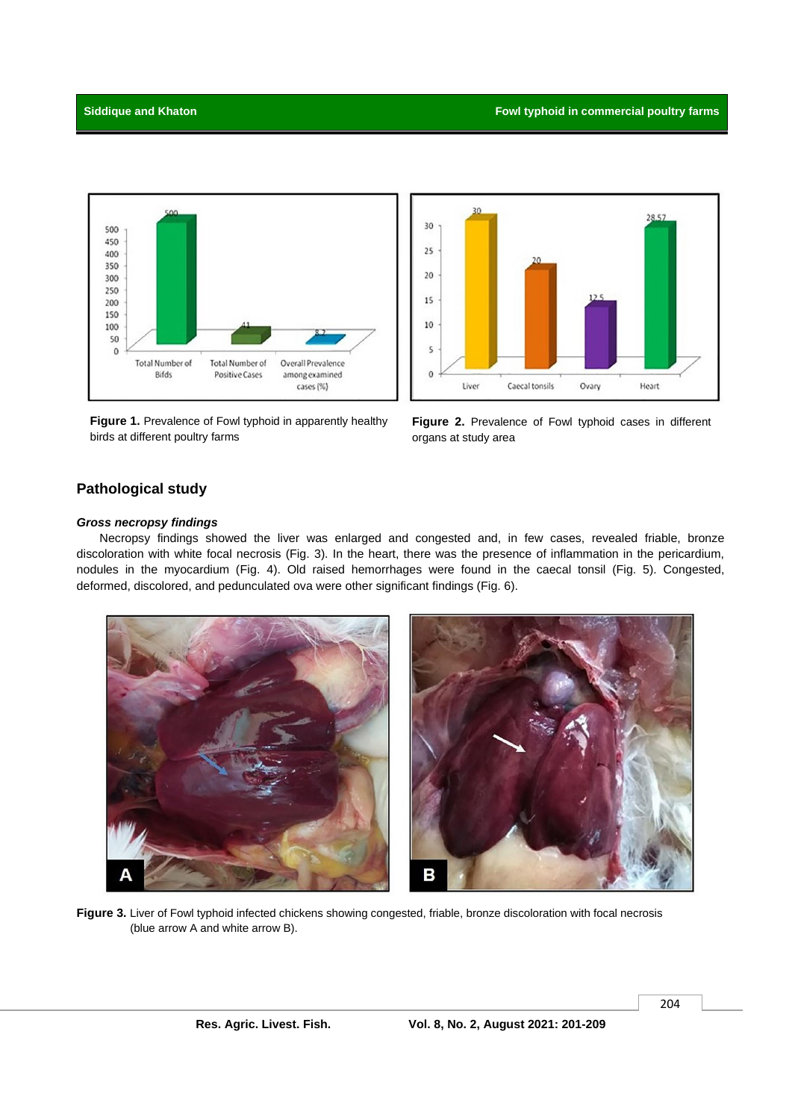



**Figure 1.** Prevalence of Fowl typhoid in apparently healthy birds at different poultry farms

**Figure 2.** Prevalence of Fowl typhoid cases in different organs at study area

# **Pathological study**

#### *Gross necropsy findings*

Necropsy findings showed the liver was enlarged and congested and, in few cases, revealed friable, bronze discoloration with white focal necrosis (Fig. 3). In the heart, there was the presence of inflammation in the pericardium, nodules in the myocardium (Fig. 4). Old raised hemorrhages were found in the caecal tonsil (Fig. 5). Congested, deformed, discolored, and pedunculated ova were other significant findings (Fig. 6).



**Figure 3.** Liver of Fowl typhoid infected chickens showing congested, friable, bronze discoloration with focal necrosis (blue arrow A and white arrow B).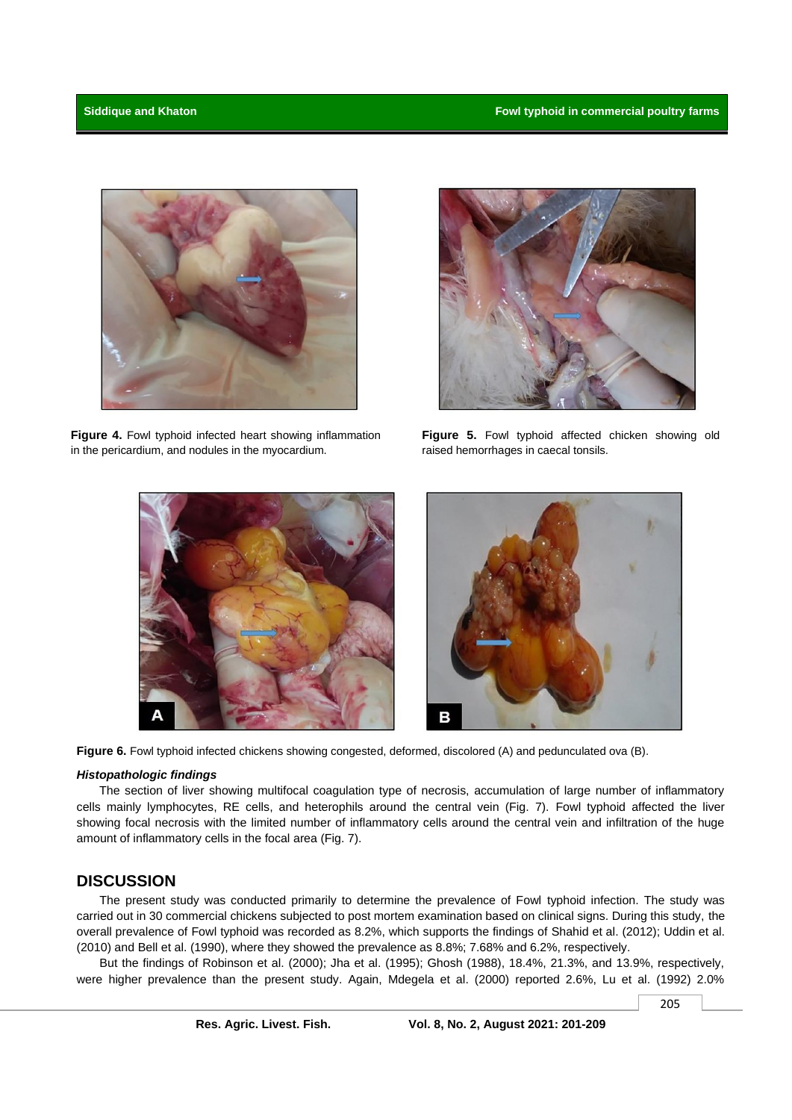

**Figure 4.** Fowl typhoid infected heart showing inflammation in the pericardium, and nodules in the myocardium.



**Figure 5.** Fowl typhoid affected chicken showing old raised hemorrhages in caecal tonsils.





**Figure 6.** Fowl typhoid infected chickens showing congested, deformed, discolored (A) and pedunculated ova (B).

#### *Histopathologic findings*

The section of liver showing multifocal coagulation type of necrosis, accumulation of large number of inflammatory cells mainly lymphocytes, RE cells, and heterophils around the central vein (Fig. 7). Fowl typhoid affected the liver showing focal necrosis with the limited number of inflammatory cells around the central vein and infiltration of the huge amount of inflammatory cells in the focal area (Fig. 7).

#### **DISCUSSION**

The present study was conducted primarily to determine the prevalence of Fowl typhoid infection. The study was carried out in 30 commercial chickens subjected to post mortem examination based on clinical signs. During this study, the overall prevalence of Fowl typhoid was recorded as 8.2%, which supports the findings of Shahid et al. (2012); Uddin et al. (2010) and Bell et al. (1990), where they showed the prevalence as 8.8%; 7.68% and 6.2%, respectively.

But the findings of Robinson et al. (2000); Jha et al. (1995); Ghosh (1988), 18.4%, 21.3%, and 13.9%, respectively, were higher prevalence than the present study. Again, Mdegela et al. (2000) reported 2.6%, Lu et al. (1992) 2.0%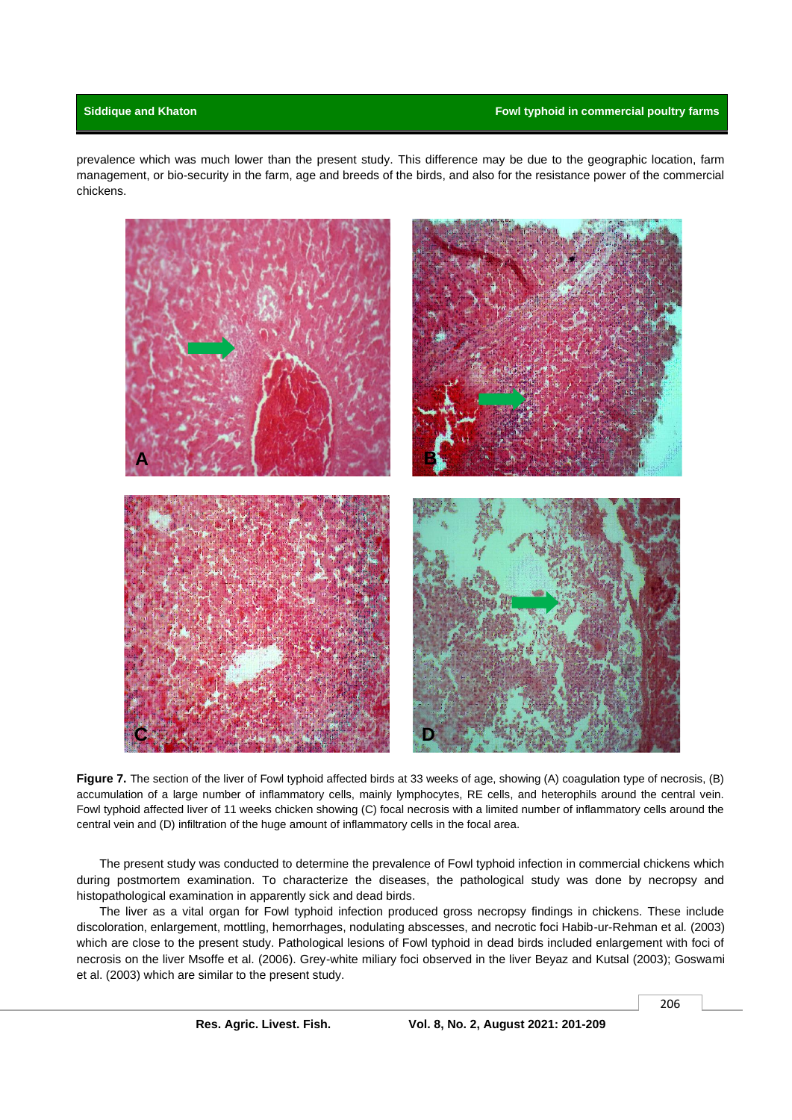prevalence which was much lower than the present study. This difference may be due to the geographic location, farm management, or bio-security in the farm, age and breeds of the birds, and also for the resistance power of the commercial chickens.



**Figure 7.** The section of the liver of Fowl typhoid affected birds at 33 weeks of age, showing (A) coagulation type of necrosis, (B) accumulation of a large number of inflammatory cells, mainly lymphocytes, RE cells, and heterophils around the central vein. Fowl typhoid affected liver of 11 weeks chicken showing (C) focal necrosis with a limited number of inflammatory cells around the central vein and (D) infiltration of the huge amount of inflammatory cells in the focal area.

The present study was conducted to determine the prevalence of Fowl typhoid infection in commercial chickens which during postmortem examination. To characterize the diseases, the pathological study was done by necropsy and histopathological examination in apparently sick and dead birds.

The liver as a vital organ for Fowl typhoid infection produced gross necropsy findings in chickens. These include discoloration, enlargement, mottling, hemorrhages, nodulating abscesses, and necrotic foci Habib-ur-Rehman et al*.* (2003) which are close to the present study. Pathological lesions of Fowl typhoid in dead birds included enlargement with foci of necrosis on the liver Msoffe et al. (2006). Grey-white miliary foci observed in the liver Beyaz and Kutsal (2003); Goswami et al. (2003) which are similar to the present study.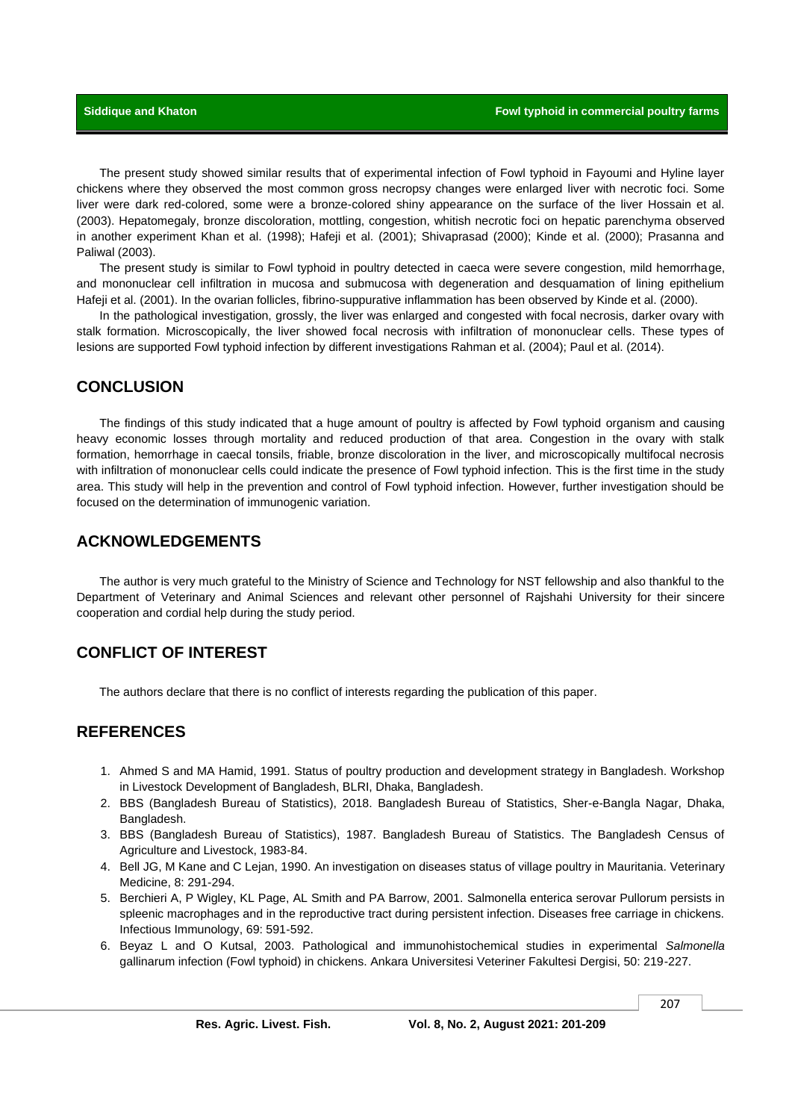The present study showed similar results that of experimental infection of Fowl typhoid in Fayoumi and Hyline layer chickens where they observed the most common gross necropsy changes were enlarged liver with necrotic foci. Some liver were dark red-colored, some were a bronze-colored shiny appearance on the surface of the liver Hossain et al. (2003). Hepatomegaly, bronze discoloration, mottling, congestion, whitish necrotic foci on hepatic parenchyma observed in another experiment Khan et al. (1998); Hafeji et al. (2001); Shivaprasad (2000); Kinde et al. (2000); Prasanna and Paliwal (2003).

The present study is similar to Fowl typhoid in poultry detected in caeca were severe congestion, mild hemorrhage, and mononuclear cell infiltration in mucosa and submucosa with degeneration and desquamation of lining epithelium Hafeji et al. (2001). In the ovarian follicles, fibrino-suppurative inflammation has been observed by Kinde et al. (2000).

In the pathological investigation, grossly, the liver was enlarged and congested with focal necrosis, darker ovary with stalk formation. Microscopically, the liver showed focal necrosis with infiltration of mononuclear cells. These types of lesions are supported Fowl typhoid infection by different investigations Rahman et al. (2004); Paul et al. (2014).

## **CONCLUSION**

The findings of this study indicated that a huge amount of poultry is affected by Fowl typhoid organism and causing heavy economic losses through mortality and reduced production of that area. Congestion in the ovary with stalk formation, hemorrhage in caecal tonsils, friable, bronze discoloration in the liver, and microscopically multifocal necrosis with infiltration of mononuclear cells could indicate the presence of Fowl typhoid infection. This is the first time in the study area. This study will help in the prevention and control of Fowl typhoid infection. However, further investigation should be focused on the determination of immunogenic variation.

#### **ACKNOWLEDGEMENTS**

The author is very much grateful to the Ministry of Science and Technology for NST fellowship and also thankful to the Department of Veterinary and Animal Sciences and relevant other personnel of Rajshahi University for their sincere cooperation and cordial help during the study period.

# **CONFLICT OF INTEREST**

The authors declare that there is no conflict of interests regarding the publication of this paper.

# **REFERENCES**

- 1. Ahmed S and MA Hamid, 1991. Status of poultry production and development strategy in Bangladesh. Workshop in Livestock Development of Bangladesh, BLRI, Dhaka, Bangladesh.
- 2. BBS (Bangladesh Bureau of Statistics), 2018. Bangladesh Bureau of Statistics, Sher-e-Bangla Nagar, Dhaka, Bangladesh.
- 3. BBS (Bangladesh Bureau of Statistics), 1987. Bangladesh Bureau of Statistics. The Bangladesh Census of Agriculture and Livestock, 1983-84.
- 4. Bell JG, M Kane and C Lejan, 1990. An investigation on diseases status of village poultry in Mauritania. Veterinary Medicine, 8: 291-294.
- 5. Berchieri A, P Wigley, KL Page, AL Smith and PA Barrow, 2001. Salmonella enterica serovar Pullorum persists in spleenic macrophages and in the reproductive tract during persistent infection. Diseases free carriage in chickens. Infectious Immunology, 69: 591-592.
- 6. Beyaz L and O Kutsal, 2003. Pathological and immunohistochemical studies in experimental *Salmonella*  gallinarum infection (Fowl typhoid) in chickens. Ankara Universitesi Veteriner Fakultesi Dergisi, 50: 219-227.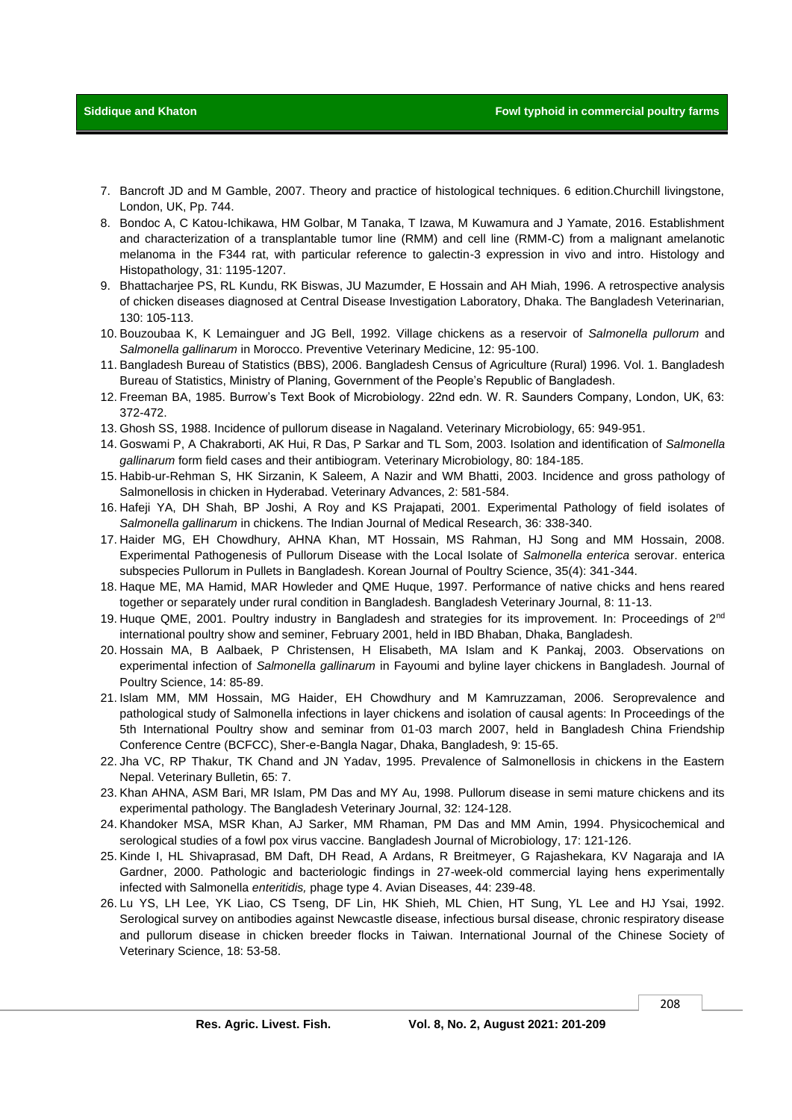- 7. Bancroft JD and M Gamble, 2007. Theory and practice of histological techniques. 6 edition.Churchill livingstone, London, UK, Pp. 744.
- 8. Bondoc A, C Katou-Ichikawa, HM Golbar, M Tanaka, T Izawa, M Kuwamura and J Yamate, 2016. Establishment and characterization of a transplantable tumor line (RMM) and cell line (RMM-C) from a malignant amelanotic melanoma in the F344 rat, with particular reference to galectin-3 expression in vivo and intro. Histology and Histopathology, 31: 1195-1207.
- 9. Bhattacharjee PS, RL Kundu, RK Biswas, JU Mazumder, E Hossain and AH Miah, 1996. A retrospective analysis of chicken diseases diagnosed at Central Disease Investigation Laboratory, Dhaka. The Bangladesh Veterinarian, 130: 105-113.
- 10. Bouzoubaa K, K Lemainguer and JG Bell, 1992. Village chickens as a reservoir of *Salmonella pullorum* and *Salmonella gallinarum* in Morocco. Preventive Veterinary Medicine, 12: 95-100.
- 11. Bangladesh Bureau of Statistics (BBS), 2006. Bangladesh Census of Agriculture (Rural) 1996. Vol. 1. Bangladesh Bureau of Statistics, Ministry of Planing, Government of the People's Republic of Bangladesh.
- 12. Freeman BA, 1985. Burrow's Text Book of Microbiology. 22nd edn. W. R. Saunders Company, London, UK, 63: 372-472.
- 13. Ghosh SS, 1988. Incidence of pullorum disease in Nagaland. Veterinary Microbiology, 65: 949-951.
- 14. Goswami P, A Chakraborti, AK Hui, R Das, P Sarkar and TL Som, 2003. Isolation and identification of *Salmonella gallinarum* form field cases and their antibiogram. Veterinary Microbiology, 80: 184-185.
- 15. Habib-ur-Rehman S, HK Sirzanin, K Saleem, A Nazir and WM Bhatti, 2003. Incidence and gross pathology of Salmonellosis in chicken in Hyderabad. Veterinary Advances, 2: 581-584.
- 16. Hafeji YA, DH Shah, BP Joshi, A Roy and KS Prajapati, 2001. Experimental Pathology of field isolates of *Salmonella gallinarum* in chickens. Th[e Indian Journal of Medical Research,](https://www.ncbi.nlm.nih.gov/pubmed/29205191) 36: 338-340.
- 17. Haider MG, EH Chowdhury, AHNA Khan, MT Hossain, MS Rahman, HJ Song and MM Hossain, 2008. Experimental Pathogenesis of Pullorum Disease with the Local Isolate of *Salmonella enterica* serovar. enterica subspecies Pullorum in Pullets in Bangladesh. Korean Journal of Poultry Science, 35(4): 341-344.
- 18. Haque ME, MA Hamid, MAR Howleder and QME Huque, 1997. Performance of native chicks and hens reared together or separately under rural condition in Bangladesh. Bangladesh Veterinary Journal, 8: 11-13.
- 19. Huque QME, 2001. Poultry industry in Bangladesh and strategies for its improvement. In: Proceedings of 2<sup>nd</sup> international poultry show and seminer, February 2001, held in IBD Bhaban, Dhaka, Bangladesh.
- 20. Hossain MA, B Aalbaek, P Christensen, H Elisabeth, MA Islam and K Pankaj, 2003. Observations on experimental infection of *Salmonella gallinarum* in Fayoumi and byline layer chickens in Bangladesh. Journal of Poultry Science, 14: 85-89.
- 21. Islam MM, MM Hossain, MG Haider, EH Chowdhury and M Kamruzzaman, 2006. Seroprevalence and pathological study of Salmonella infections in layer chickens and isolation of causal agents: In Proceedings of the 5th International Poultry show and seminar from 01-03 march 2007, held in Bangladesh China Friendship Conference Centre (BCFCC), Sher-e-Bangla Nagar, Dhaka, Bangladesh, 9: 15-65.
- 22. Jha VC, RP Thakur, TK Chand and JN Yadav, 1995. Prevalence of Salmonellosis in chickens in the Eastern Nepal. Veterinary Bulletin, 65: 7.
- 23. Khan AHNA, ASM Bari, MR Islam, PM Das and MY Au, 1998. Pullorum disease in semi mature chickens and its experimental pathology. The Bangladesh Veterinary Journal, 32: 124-128.
- 24. Khandoker MSA, MSR Khan, AJ Sarker, MM Rhaman, PM Das and MM Amin, 1994. Physicochemical and serological studies of a fowl pox virus vaccine. Bangladesh Journal of Microbiology, 17: 121-126.
- 25. Kinde I, HL Shivaprasad, BM Daft, DH Read, A Ardans, R Breitmeyer, G Rajashekara, KV Nagaraja and IA Gardner, 2000. Pathologic and bacteriologic findings in 27-week-old commercial laying hens experimentally infected with Salmonella *enteritidis,* phage type 4. Avian Diseases, 44: 239-48.
- 26. Lu YS, LH Lee, YK Liao, CS Tseng, DF Lin, HK Shieh, ML Chien, HT Sung, YL Lee and HJ Ysai, 1992. Serological survey on antibodies against Newcastle disease, infectious bursal disease, chronic respiratory disease and pullorum disease in chicken breeder flocks in Taiwan. International Journal of the Chinese Society of Veterinary Science, 18: 53-58.